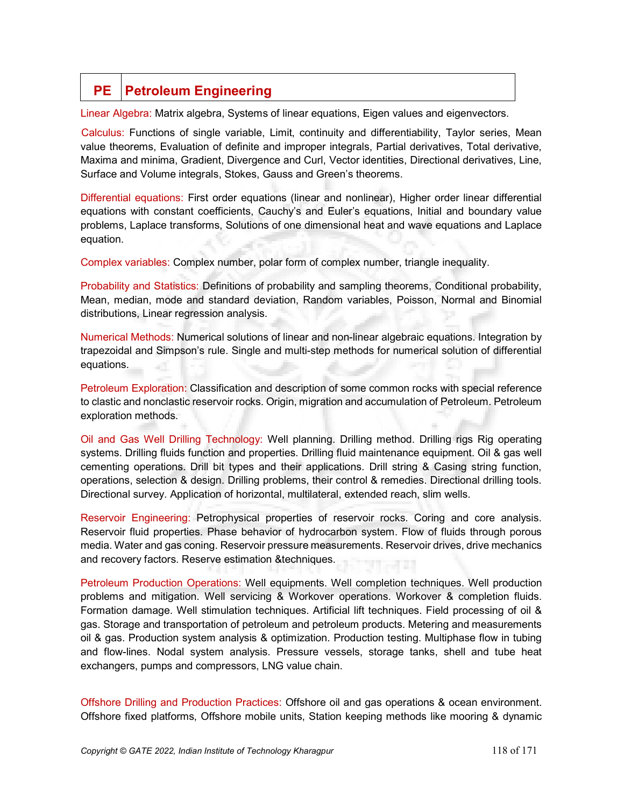## **PE** Petroleum Engineering

Linear Algebra: Matrix algebra, Systems of linear equations, Eigen values and eigenvectors.

.Calculus: Functions of single variable, Limit, continuity and differentiability, Taylor series, Mean value theorems, Evaluation of definite and improper integrals, Partial derivatives, Total derivative, Maxima and minima, Gradient, Divergence and Curl, Vector identities, Directional derivatives, Line, Surface and Volume integrals, Stokes, Gauss and Green's theorems.

Differential equations: First order equations (linear and nonlinear), Higher order linear differential equations with constant coefficients, Cauchy's and Euler's equations, Initial and boundary value problems, Laplace transforms, Solutions of one dimensional heat and wave equations and Laplace equation.

Complex variables: Complex number, polar form of complex number, triangle inequality.

Probability and Statistics: Definitions of probability and sampling theorems, Conditional probability, Mean, median, mode and standard deviation, Random variables, Poisson, Normal and Binomial distributions, Linear regression analysis.

Numerical Methods: Numerical solutions of linear and non-linear algebraic equations. Integration by trapezoidal and Simpson's rule. Single and multi-step methods for numerical solution of differential equations. a T

Petroleum Exploration: Classification and description of some common rocks with special reference to clastic and nonclastic reservoir rocks. Origin, migration and accumulation of Petroleum. Petroleum exploration methods.

Oil and Gas Well Drilling Technology: Well planning. Drilling method. Drilling rigs Rig operating systems. Drilling fluids function and properties. Drilling fluid maintenance equipment. Oil & gas well cementing operations. Drill bit types and their applications. Drill string & Casing string function, operations, selection & design. Drilling problems, their control & remedies. Directional drilling tools. Directional survey. Application of horizontal, multilateral, extended reach, slim wells.

Reservoir Engineering: Petrophysical properties of reservoir rocks. Coring and core analysis. Reservoir fluid properties. Phase behavior of hydrocarbon system. Flow of fluids through porous media. Water and gas coning. Reservoir pressure measurements. Reservoir drives, drive mechanics and recovery factors. Reserve estimation &techniques.

Petroleum Production Operations: Well equipments. Well completion techniques. Well production problems and mitigation. Well servicing & Workover operations. Workover & completion fluids. Formation damage. Well stimulation techniques. Artificial lift techniques. Field processing of oil & gas. Storage and transportation of petroleum and petroleum products. Metering and measurements oil & gas. Production system analysis & optimization. Production testing. Multiphase flow in tubing and flow-lines. Nodal system analysis. Pressure vessels, storage tanks, shell and tube heat exchangers, pumps and compressors, LNG value chain.

Offshore Drilling and Production Practices: Offshore oil and gas operations & ocean environment. Offshore fixed platforms, Offshore mobile units, Station keeping methods like mooring & dynamic